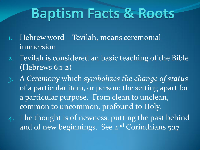# **Baptism Facts & Roots**

- 1. Hebrew word Tevilah, means ceremonial immersion
- 2. Tevilah is considered an basic teaching of the Bible (Hebrews 6:1-2)
- 3. A *Ceremony* which *symbolizes the change of status* of a particular item, or person; the setting apart for a particular purpose. From clean to unclean, common to uncommon, profound to Holy.
- 4. The thought is of newness, putting the past behind and of new beginnings. See 2<sup>nd</sup> Corinthians 5:17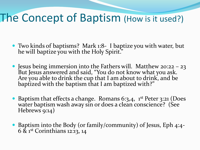#### The Concept of Baptism (How is it used?)

- Two kinds of baptisms? Mark 1:8- I baptize you with water, but he will baptize you with the Holy Spirit."
- Jesus being immersion into the Fathers will. Matthew 20:22 23 But Jesus answered and said, "You do not know what you ask. Are you able to drink the cup that I am about to drink, and be baptized with the baptism that I am baptized with?"
- Baptism that effects a change. Romans 6:3,4, 1<sup>st</sup> Peter 3:21 (Does water baptism wash away sin or does a clean conscience? (See Hebrews 9:14)
- Baptism into the Body (or family/community) of Jesus, Eph 4:4- 6 & 1st Corinthians 12:13, 14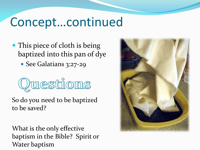#### Concept…continued

• This piece of cloth is being baptized into this pan of dye

• See Galatians 3:27-29

Questions

So do you need to be baptized to be saved?

What is the only effective baptism in the Bible? Spirit or Water baptism

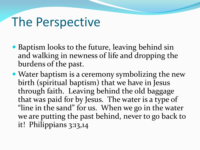### The Perspective

- Baptism looks to the future, leaving behind sin and walking in newness of life and dropping the burdens of the past.
- Water baptism is a ceremony symbolizing the new birth (spiritual baptism) that we have in Jesus through faith. Leaving behind the old baggage that was paid for by Jesus. The water is a type of "line in the sand" for us. When we go in the water we are putting the past behind, never to go back to it! Philippians 3:13,14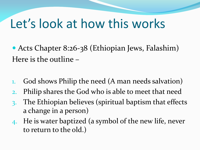### Let's look at how this works

• Acts Chapter 8:26-38 (Ethiopian Jews, Falashim) Here is the outline –

- 1. God shows Philip the need (A man needs salvation)
- 2. Philip shares the God who is able to meet that need
- 3. The Ethiopian believes (spiritual baptism that effects a change in a person)
- 4. He is water baptized (a symbol of the new life, never to return to the old.)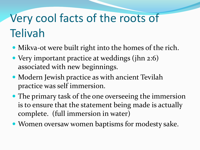# Very cool facts of the roots of Telivah

- Mikva-ot were built right into the homes of the rich.
- Very important practice at weddings (jhn 2:6) associated with new beginnings.
- Modern Jewish practice as with ancient Tevilah practice was self immersion.
- The primary task of the one overseeing the immersion is to ensure that the statement being made is actually complete. (full immersion in water)
- Women oversaw women baptisms for modesty sake.